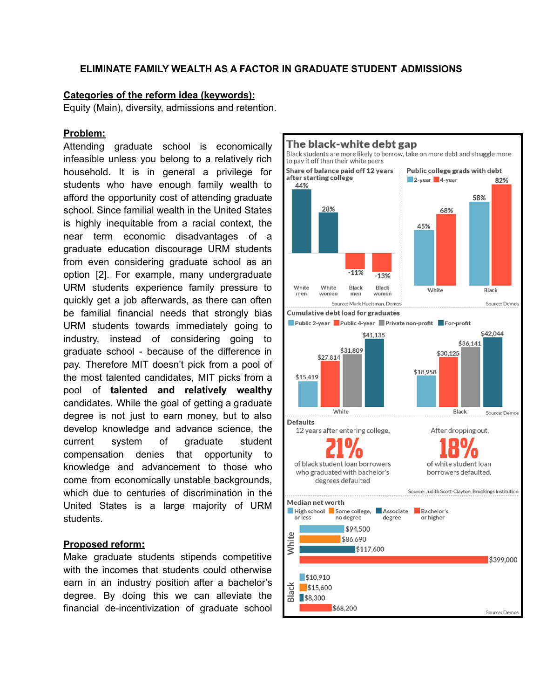### **ELIMINATE FAMILY WEALTH AS A FACTOR IN GRADUATE STUDENT ADMISSIONS**

#### **Categories of the reform idea (keywords):**

Equity (Main), diversity, admissions and retention.

#### **Problem:**

Attending graduate school is economically infeasible unless you belong to a relatively rich household. It is in general a privilege for students who have enough family wealth to afford the opportunity cost of attending graduate school. Since familial wealth in the United States is highly inequitable from a racial context, the near term economic disadvantages of a graduate education discourage URM students from even considering graduate school as an option [2]. For example, many undergraduate URM students experience family pressure to quickly get a job afterwards, as there can often be familial financial needs that strongly bias URM students towards immediately going to industry, instead of considering going to graduate school - because of the difference in pay. Therefore MIT doesn't pick from a pool of the most talented candidates, MIT picks from a pool of **talented and relatively wealthy** candidates. While the goal of getting a graduate degree is not just to earn money, but to also develop knowledge and advance science, the current system of graduate student compensation denies that opportunity to knowledge and advancement to those who come from economically unstable backgrounds, which due to centuries of discrimination in the United States is a large majority of URM students.

#### **Proposed reform:**

Make graduate students stipends competitive with the incomes that students could otherwise earn in an industry position after a bachelor's degree. By doing this we can alleviate the financial de-incentivization of graduate school

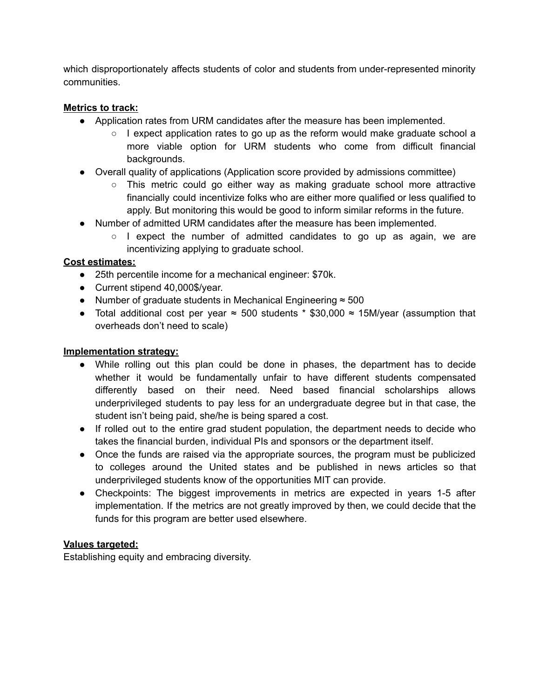which disproportionately affects students of color and students from under-represented minority communities.

## **Metrics to track:**

- Application rates from URM candidates after the measure has been implemented.
	- $\circ$  I expect application rates to go up as the reform would make graduate school a more viable option for URM students who come from difficult financial backgrounds.
- Overall quality of applications (Application score provided by admissions committee)
	- This metric could go either way as making graduate school more attractive financially could incentivize folks who are either more qualified or less qualified to apply. But monitoring this would be good to inform similar reforms in the future.
- Number of admitted URM candidates after the measure has been implemented.
	- $\circ$  I expect the number of admitted candidates to go up as again, we are incentivizing applying to graduate school.

### **Cost estimates:**

- 25th percentile income for a mechanical engineer: \$70k.
- Current stipend 40,000\$/year.
- Number of graduate students in Mechanical Engineering ≈ 500
- Total additional cost per year  $\approx$  500 students \* \$30,000  $\approx$  15M/year (assumption that overheads don't need to scale)

### **Implementation strategy:**

- While rolling out this plan could be done in phases, the department has to decide whether it would be fundamentally unfair to have different students compensated differently based on their need. Need based financial scholarships allows underprivileged students to pay less for an undergraduate degree but in that case, the student isn't being paid, she/he is being spared a cost.
- If rolled out to the entire grad student population, the department needs to decide who takes the financial burden, individual PIs and sponsors or the department itself.
- Once the funds are raised via the appropriate sources, the program must be publicized to colleges around the United states and be published in news articles so that underprivileged students know of the opportunities MIT can provide.
- Checkpoints: The biggest improvements in metrics are expected in years 1-5 after implementation. If the metrics are not greatly improved by then, we could decide that the funds for this program are better used elsewhere.

### **Values targeted:**

Establishing equity and embracing diversity.